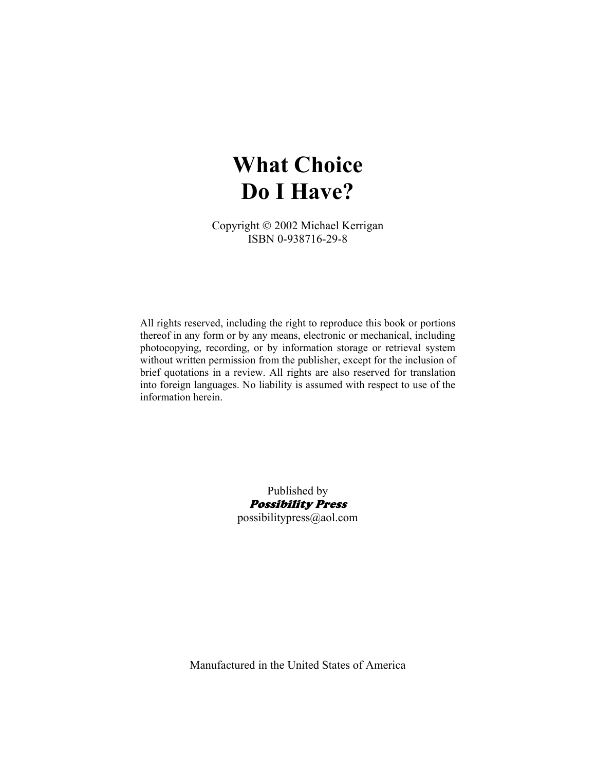# **What Choice Do I Have?**

Copyright © 2002 Michael Kerrigan ISBN 0-938716-29-8

All rights reserved, including the right to reproduce this book or portions thereof in any form or by any means, electronic or mechanical, including photocopying, recording, or by information storage or retrieval system without written permission from the publisher, except for the inclusion of brief quotations in a review. All rights are also reserved for translation into foreign languages. No liability is assumed with respect to use of the information herein.

> Published by Possibility Press possibilitypress@aol.com

Manufactured in the United States of America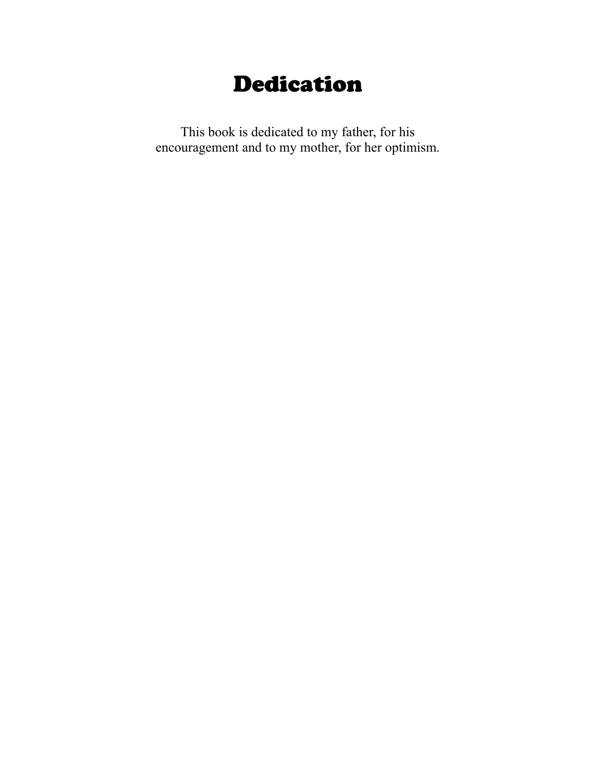## Dedication

This book is dedicated to my father, for his encouragement and to my mother, for her optimism.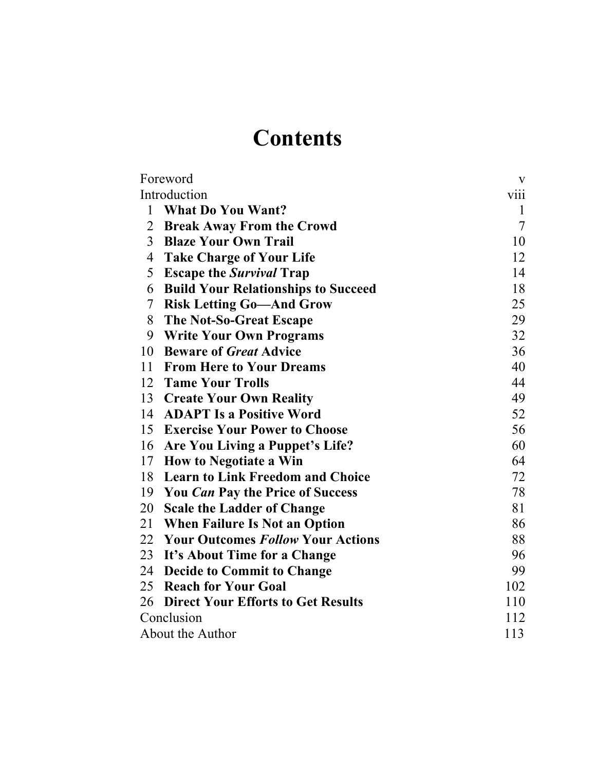# **Contents**

| Foreword                                           | V              |
|----------------------------------------------------|----------------|
| Introduction                                       | viii           |
| <b>What Do You Want?</b><br>1                      | $\mathbf{1}$   |
| $\overline{2}$<br><b>Break Away From the Crowd</b> | $\overline{7}$ |
| $\overline{3}$<br><b>Blaze Your Own Trail</b>      | 10             |
| $\overline{4}$<br><b>Take Charge of Your Life</b>  | 12             |
| 5<br><b>Escape the Survival Trap</b>               | 14             |
| 6<br><b>Build Your Relationships to Succeed</b>    | 18             |
| <b>Risk Letting Go-And Grow</b><br>7               | 25             |
| 8<br>The Not-So-Great Escape                       | 29             |
| 9<br><b>Write Your Own Programs</b>                | 32             |
| <b>Beware of Great Advice</b><br>10                | 36             |
| <b>From Here to Your Dreams</b><br>11              | 40             |
| 12 Tame Your Trolls                                | 44             |
| 13 Create Your Own Reality                         | 49             |
| <b>ADAPT Is a Positive Word</b><br>14              | 52             |
| 15 Exercise Your Power to Choose                   | 56             |
| 16 Are You Living a Puppet's Life?                 | 60             |
| 17<br><b>How to Negotiate a Win</b>                | 64             |
| 18 Learn to Link Freedom and Choice                | 72             |
| 19 You Can Pay the Price of Success                | 78             |
| 20 Scale the Ladder of Change                      | 81             |
| 21 When Failure Is Not an Option                   | 86             |
| 22 Your Outcomes Follow Your Actions               | 88             |
| 23 It's About Time for a Change                    | 96             |
| 24 Decide to Commit to Change                      | 99             |
| 25 Reach for Your Goal                             | 102            |
| 26 Direct Your Efforts to Get Results              | 110            |
| Conclusion                                         | 112            |
| About the Author                                   | 113            |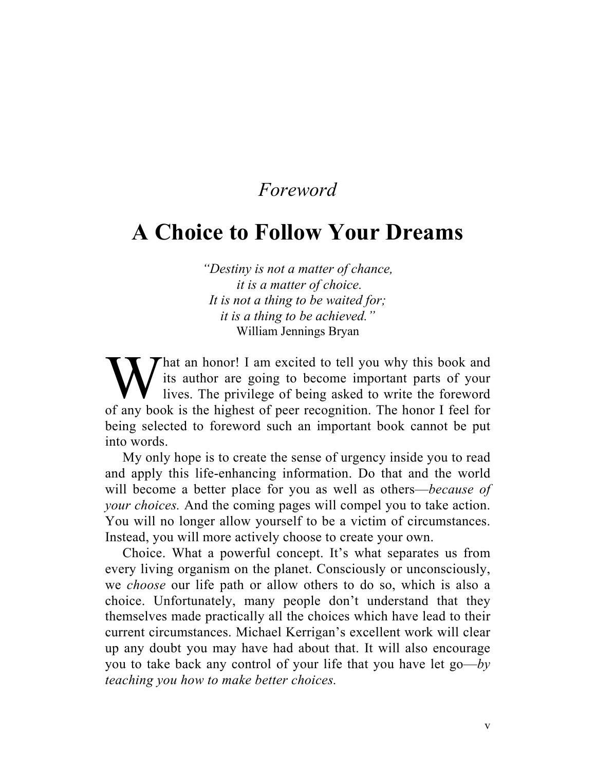### *Foreword*

### **A Choice to Follow Your Dreams**

*"Destiny is not a matter of chance, it is a matter of choice. It is not a thing to be waited for; it is a thing to be achieved."*  William Jennings Bryan

hat an honor! I am excited to tell you why this book and its author are going to become important parts of your lives. The privilege of being asked to write the foreword W its author are going to become important parts of your lives. The privilege of being asked to write the foreword of any book is the highest of peer recognition. The honor I feel for being selected to foreword such an important book cannot be put into words.

My only hope is to create the sense of urgency inside you to read and apply this life-enhancing information. Do that and the world will become a better place for you as well as others—*because of your choices.* And the coming pages will compel you to take action. You will no longer allow yourself to be a victim of circumstances. Instead, you will more actively choose to create your own.

Choice. What a powerful concept. It's what separates us from every living organism on the planet. Consciously or unconsciously, we *choose* our life path or allow others to do so, which is also a choice. Unfortunately, many people don't understand that they themselves made practically all the choices which have lead to their current circumstances. Michael Kerrigan's excellent work will clear up any doubt you may have had about that. It will also encourage you to take back any control of your life that you have let go—*by teaching you how to make better choices.*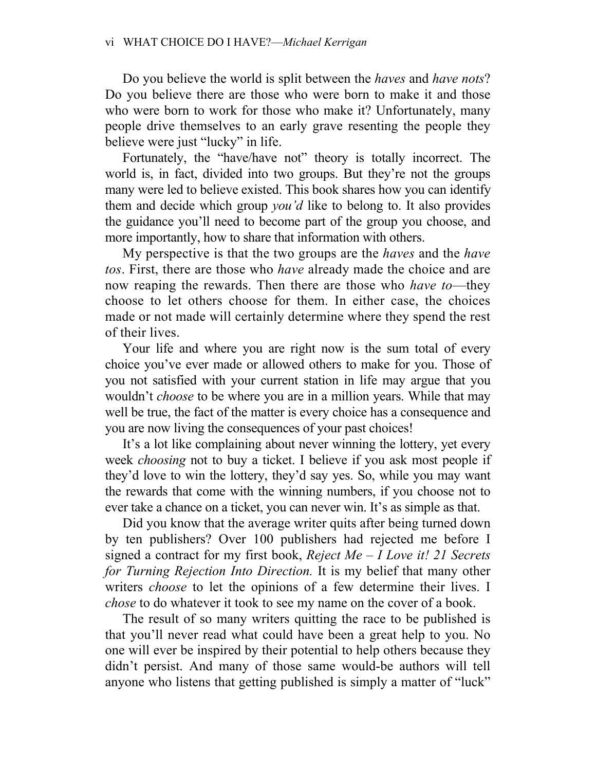Do you believe the world is split between the *haves* and *have nots*? Do you believe there are those who were born to make it and those who were born to work for those who make it? Unfortunately, many people drive themselves to an early grave resenting the people they believe were just "lucky" in life.

Fortunately, the "have/have not" theory is totally incorrect. The world is, in fact, divided into two groups. But they're not the groups many were led to believe existed. This book shares how you can identify them and decide which group *you'd* like to belong to. It also provides the guidance you'll need to become part of the group you choose, and more importantly, how to share that information with others.

My perspective is that the two groups are the *haves* and the *have tos*. First, there are those who *have* already made the choice and are now reaping the rewards. Then there are those who *have to*—they choose to let others choose for them. In either case, the choices made or not made will certainly determine where they spend the rest of their lives.

Your life and where you are right now is the sum total of every choice you've ever made or allowed others to make for you. Those of you not satisfied with your current station in life may argue that you wouldn't *choose* to be where you are in a million years. While that may well be true, the fact of the matter is every choice has a consequence and you are now living the consequences of your past choices!

It's a lot like complaining about never winning the lottery, yet every week *choosing* not to buy a ticket. I believe if you ask most people if they'd love to win the lottery, they'd say yes. So, while you may want the rewards that come with the winning numbers, if you choose not to ever take a chance on a ticket, you can never win. It's as simple as that.

Did you know that the average writer quits after being turned down by ten publishers? Over 100 publishers had rejected me before I signed a contract for my first book, *Reject Me – I Love it! 21 Secrets for Turning Rejection Into Direction.* It is my belief that many other writers *choose* to let the opinions of a few determine their lives. I *chose* to do whatever it took to see my name on the cover of a book.

The result of so many writers quitting the race to be published is that you'll never read what could have been a great help to you. No one will ever be inspired by their potential to help others because they didn't persist. And many of those same would-be authors will tell anyone who listens that getting published is simply a matter of "luck"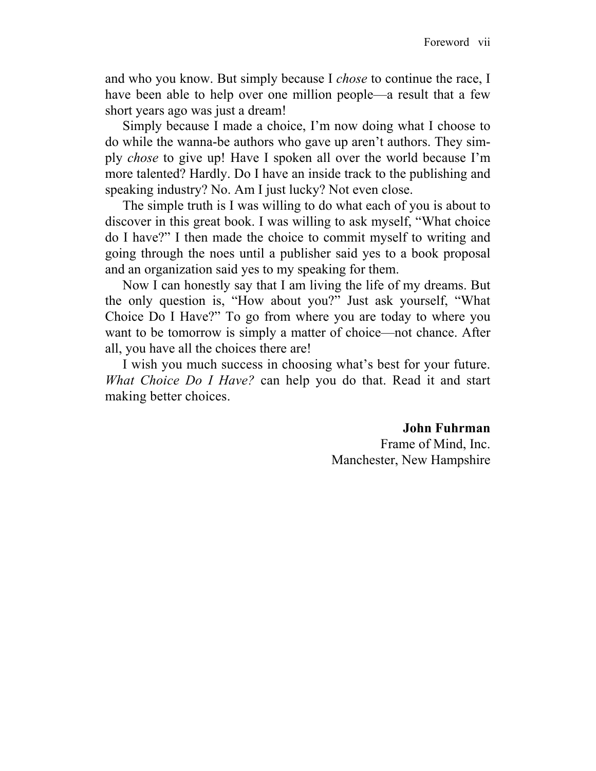and who you know. But simply because I *chose* to continue the race, I have been able to help over one million people—a result that a few short years ago was just a dream!

Simply because I made a choice, I'm now doing what I choose to do while the wanna-be authors who gave up aren't authors. They simply *chose* to give up! Have I spoken all over the world because I'm more talented? Hardly. Do I have an inside track to the publishing and speaking industry? No. Am I just lucky? Not even close.

The simple truth is I was willing to do what each of you is about to discover in this great book. I was willing to ask myself, "What choice do I have?" I then made the choice to commit myself to writing and going through the noes until a publisher said yes to a book proposal and an organization said yes to my speaking for them.

Now I can honestly say that I am living the life of my dreams. But the only question is, "How about you?" Just ask yourself, "What Choice Do I Have?" To go from where you are today to where you want to be tomorrow is simply a matter of choice—not chance. After all, you have all the choices there are!

I wish you much success in choosing what's best for your future. *What Choice Do I Have?* can help you do that. Read it and start making better choices.

#### **John Fuhrman**

Frame of Mind, Inc. Manchester, New Hampshire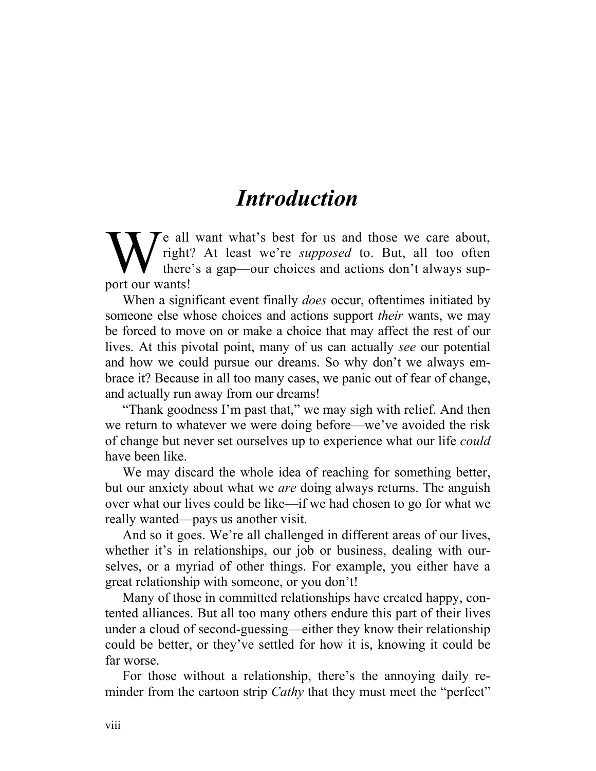## *Introduction*

Te all want what's best for us and those we care about, right? At least we're *supposed* to. But, all too often there's a gap—our choices and actions don't always sup-We all<br>port our wants!

When a significant event finally *does* occur, oftentimes initiated by someone else whose choices and actions support *their* wants, we may be forced to move on or make a choice that may affect the rest of our lives. At this pivotal point, many of us can actually *see* our potential and how we could pursue our dreams. So why don't we always embrace it? Because in all too many cases, we panic out of fear of change, and actually run away from our dreams!

"Thank goodness I'm past that," we may sigh with relief. And then we return to whatever we were doing before—we've avoided the risk of change but never set ourselves up to experience what our life *could* have been like.

We may discard the whole idea of reaching for something better, but our anxiety about what we *are* doing always returns. The anguish over what our lives could be like—if we had chosen to go for what we really wanted—pays us another visit.

And so it goes. We're all challenged in different areas of our lives, whether it's in relationships, our job or business, dealing with ourselves, or a myriad of other things. For example, you either have a great relationship with someone, or you don't!

Many of those in committed relationships have created happy, contented alliances. But all too many others endure this part of their lives under a cloud of second-guessing—either they know their relationship could be better, or they've settled for how it is, knowing it could be far worse.

For those without a relationship, there's the annoying daily reminder from the cartoon strip *Cathy* that they must meet the "perfect"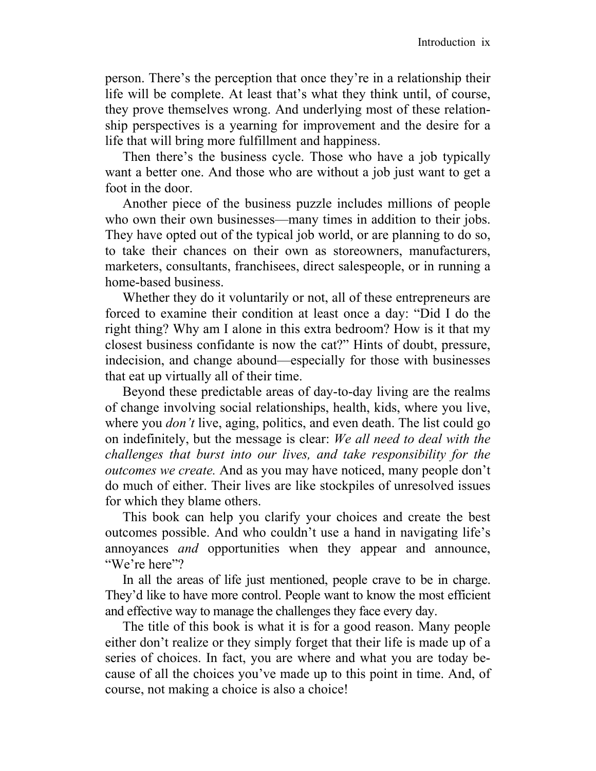person. There's the perception that once they're in a relationship their life will be complete. At least that's what they think until, of course, they prove themselves wrong. And underlying most of these relationship perspectives is a yearning for improvement and the desire for a life that will bring more fulfillment and happiness.

Then there's the business cycle. Those who have a job typically want a better one. And those who are without a job just want to get a foot in the door.

Another piece of the business puzzle includes millions of people who own their own businesses—many times in addition to their jobs. They have opted out of the typical job world, or are planning to do so, to take their chances on their own as storeowners, manufacturers, marketers, consultants, franchisees, direct salespeople, or in running a home-based business.

Whether they do it voluntarily or not, all of these entrepreneurs are forced to examine their condition at least once a day: "Did I do the right thing? Why am I alone in this extra bedroom? How is it that my closest business confidante is now the cat?" Hints of doubt, pressure, indecision, and change abound—especially for those with businesses that eat up virtually all of their time.

Beyond these predictable areas of day-to-day living are the realms of change involving social relationships, health, kids, where you live, where you *don't* live, aging, politics, and even death. The list could go on indefinitely, but the message is clear: *We all need to deal with the challenges that burst into our lives, and take responsibility for the outcomes we create.* And as you may have noticed, many people don't do much of either. Their lives are like stockpiles of unresolved issues for which they blame others.

This book can help you clarify your choices and create the best outcomes possible. And who couldn't use a hand in navigating life's annoyances *and* opportunities when they appear and announce, "We're here"?

In all the areas of life just mentioned, people crave to be in charge. They'd like to have more control. People want to know the most efficient and effective way to manage the challenges they face every day.

The title of this book is what it is for a good reason. Many people either don't realize or they simply forget that their life is made up of a series of choices. In fact, you are where and what you are today because of all the choices you've made up to this point in time. And, of course, not making a choice is also a choice!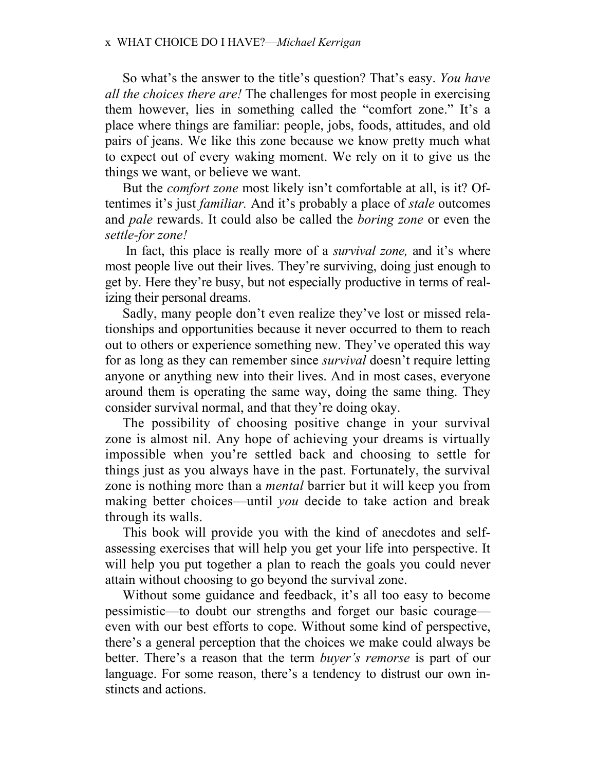So what's the answer to the title's question? That's easy. *You have all the choices there are!* The challenges for most people in exercising them however, lies in something called the "comfort zone." It's a place where things are familiar: people, jobs, foods, attitudes, and old pairs of jeans. We like this zone because we know pretty much what to expect out of every waking moment. We rely on it to give us the things we want, or believe we want.

But the *comfort zone* most likely isn't comfortable at all, is it? Oftentimes it's just *familiar.* And it's probably a place of *stale* outcomes and *pale* rewards. It could also be called the *boring zone* or even the *settle-for zone!*

 In fact, this place is really more of a *survival zone,* and it's where most people live out their lives. They're surviving, doing just enough to get by. Here they're busy, but not especially productive in terms of realizing their personal dreams.

Sadly, many people don't even realize they've lost or missed relationships and opportunities because it never occurred to them to reach out to others or experience something new. They've operated this way for as long as they can remember since *survival* doesn't require letting anyone or anything new into their lives. And in most cases, everyone around them is operating the same way, doing the same thing. They consider survival normal, and that they're doing okay.

The possibility of choosing positive change in your survival zone is almost nil. Any hope of achieving your dreams is virtually impossible when you're settled back and choosing to settle for things just as you always have in the past. Fortunately, the survival zone is nothing more than a *mental* barrier but it will keep you from making better choices—until *you* decide to take action and break through its walls.

This book will provide you with the kind of anecdotes and selfassessing exercises that will help you get your life into perspective. It will help you put together a plan to reach the goals you could never attain without choosing to go beyond the survival zone.

Without some guidance and feedback, it's all too easy to become pessimistic—to doubt our strengths and forget our basic courage even with our best efforts to cope. Without some kind of perspective, there's a general perception that the choices we make could always be better. There's a reason that the term *buyer's remorse* is part of our language. For some reason, there's a tendency to distrust our own instincts and actions.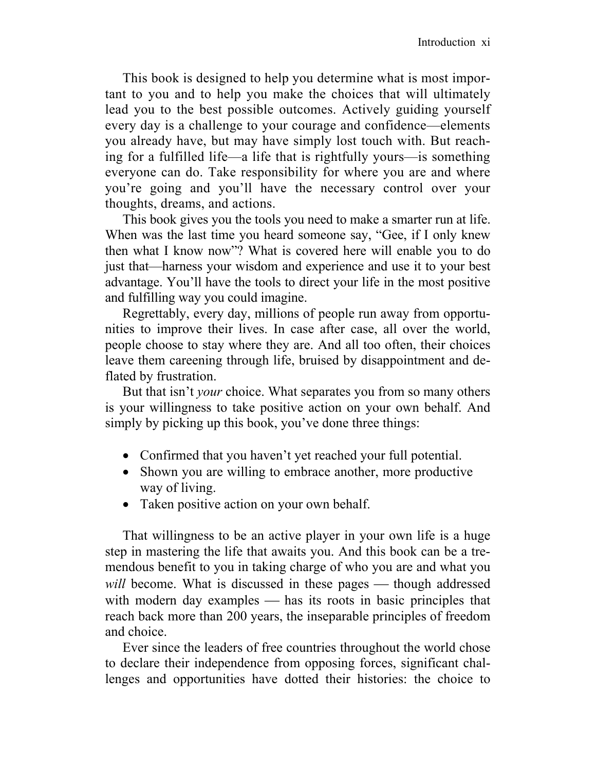This book is designed to help you determine what is most important to you and to help you make the choices that will ultimately lead you to the best possible outcomes. Actively guiding yourself every day is a challenge to your courage and confidence—elements you already have, but may have simply lost touch with. But reaching for a fulfilled life—a life that is rightfully yours—is something everyone can do. Take responsibility for where you are and where you're going and you'll have the necessary control over your thoughts, dreams, and actions.

This book gives you the tools you need to make a smarter run at life. When was the last time you heard someone say, "Gee, if I only knew then what I know now"? What is covered here will enable you to do just that—harness your wisdom and experience and use it to your best advantage. You'll have the tools to direct your life in the most positive and fulfilling way you could imagine.

Regrettably, every day, millions of people run away from opportunities to improve their lives. In case after case, all over the world, people choose to stay where they are. And all too often, their choices leave them careening through life, bruised by disappointment and deflated by frustration.

But that isn't *your* choice. What separates you from so many others is your willingness to take positive action on your own behalf. And simply by picking up this book, you've done three things:

- Confirmed that you haven't yet reached your full potential.
- Shown you are willing to embrace another, more productive way of living.
- Taken positive action on your own behalf.

That willingness to be an active player in your own life is a huge step in mastering the life that awaits you. And this book can be a tremendous benefit to you in taking charge of who you are and what you *will* become. What is discussed in these pages — though addressed with modern day examples  $-$  has its roots in basic principles that reach back more than 200 years, the inseparable principles of freedom and choice.

Ever since the leaders of free countries throughout the world chose to declare their independence from opposing forces, significant challenges and opportunities have dotted their histories: the choice to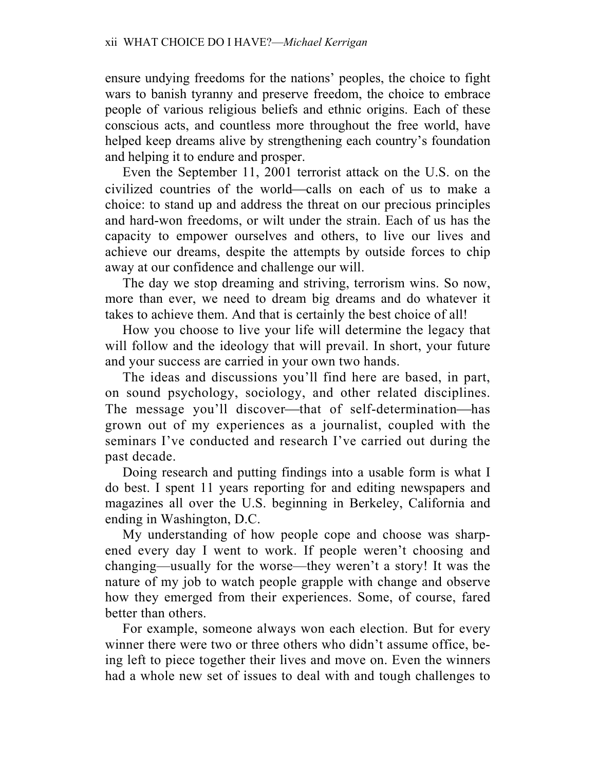ensure undying freedoms for the nations' peoples, the choice to fight wars to banish tyranny and preserve freedom, the choice to embrace people of various religious beliefs and ethnic origins. Each of these conscious acts, and countless more throughout the free world, have helped keep dreams alive by strengthening each country's foundation and helping it to endure and prosper.

Even the September 11, 2001 terrorist attack on the U.S. on the civilized countries of the world—calls on each of us to make a choice: to stand up and address the threat on our precious principles and hard-won freedoms, or wilt under the strain. Each of us has the capacity to empower ourselves and others, to live our lives and achieve our dreams, despite the attempts by outside forces to chip away at our confidence and challenge our will.

The day we stop dreaming and striving, terrorism wins. So now, more than ever, we need to dream big dreams and do whatever it takes to achieve them. And that is certainly the best choice of all!

How you choose to live your life will determine the legacy that will follow and the ideology that will prevail. In short, your future and your success are carried in your own two hands.

The ideas and discussions you'll find here are based, in part, on sound psychology, sociology, and other related disciplines. The message you'll discover—that of self-determination—has grown out of my experiences as a journalist, coupled with the seminars I've conducted and research I've carried out during the past decade.

Doing research and putting findings into a usable form is what I do best. I spent 11 years reporting for and editing newspapers and magazines all over the U.S. beginning in Berkeley, California and ending in Washington, D.C.

My understanding of how people cope and choose was sharpened every day I went to work. If people weren't choosing and changing—usually for the worse—they weren't a story! It was the nature of my job to watch people grapple with change and observe how they emerged from their experiences. Some, of course, fared better than others.

For example, someone always won each election. But for every winner there were two or three others who didn't assume office, being left to piece together their lives and move on. Even the winners had a whole new set of issues to deal with and tough challenges to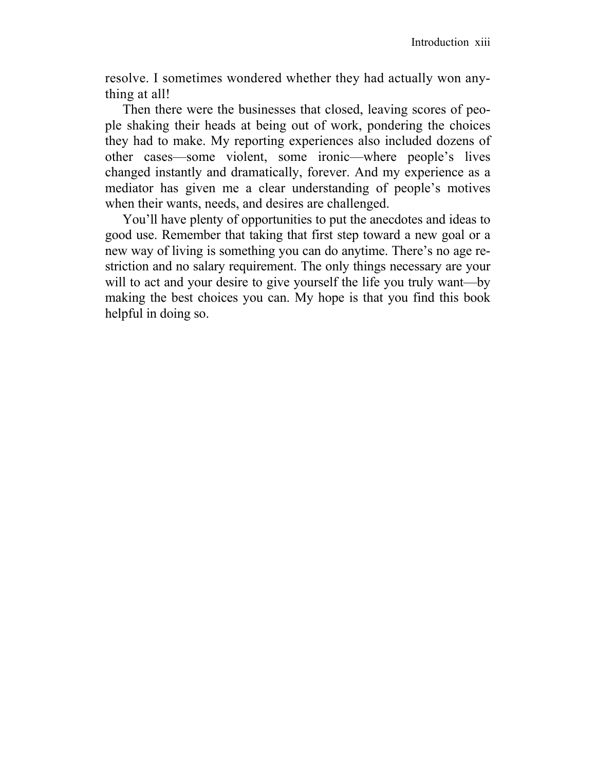resolve. I sometimes wondered whether they had actually won anything at all!

Then there were the businesses that closed, leaving scores of people shaking their heads at being out of work, pondering the choices they had to make. My reporting experiences also included dozens of other cases—some violent, some ironic—where people's lives changed instantly and dramatically, forever. And my experience as a mediator has given me a clear understanding of people's motives when their wants, needs, and desires are challenged.

You'll have plenty of opportunities to put the anecdotes and ideas to good use. Remember that taking that first step toward a new goal or a new way of living is something you can do anytime. There's no age restriction and no salary requirement. The only things necessary are your will to act and your desire to give yourself the life you truly want—by making the best choices you can. My hope is that you find this book helpful in doing so.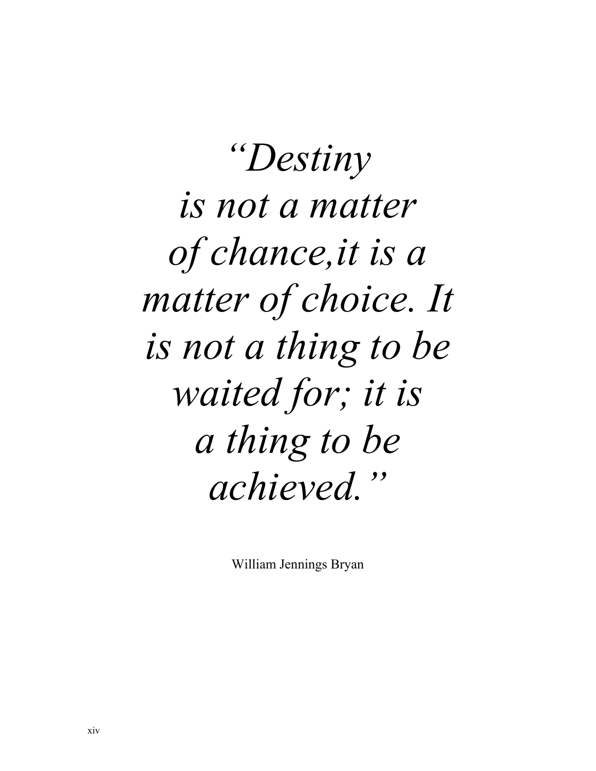*"Destiny is not a matter of chance,it is a matter of choice. It is not a thing to be waited for; it is a thing to be achieved."* 

William Jennings Bryan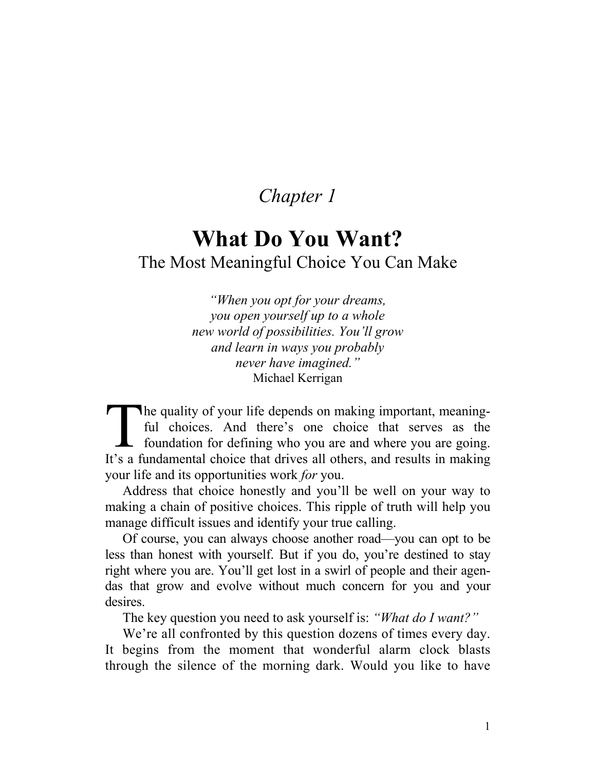### *Chapter 1*

### **What Do You Want?**  The Most Meaningful Choice You Can Make

*"When you opt for your dreams, you open yourself up to a whole new world of possibilities. You'll grow and learn in ways you probably never have imagined."*  Michael Kerrigan

**h** a quality of your life depends on making important, meaningful choices. And there's one choice that serves as the foundation for defining who you are and where you are going. It's a fundamental choice that drives all others, and results in making your life and its opportunities work *for* you. The full<br>The four

Address that choice honestly and you'll be well on your way to making a chain of positive choices. This ripple of truth will help you manage difficult issues and identify your true calling.

Of course, you can always choose another road—you can opt to be less than honest with yourself. But if you do, you're destined to stay right where you are. You'll get lost in a swirl of people and their agendas that grow and evolve without much concern for you and your desires.

The key question you need to ask yourself is: *"What do I want?"* 

We're all confronted by this question dozens of times every day. It begins from the moment that wonderful alarm clock blasts through the silence of the morning dark. Would you like to have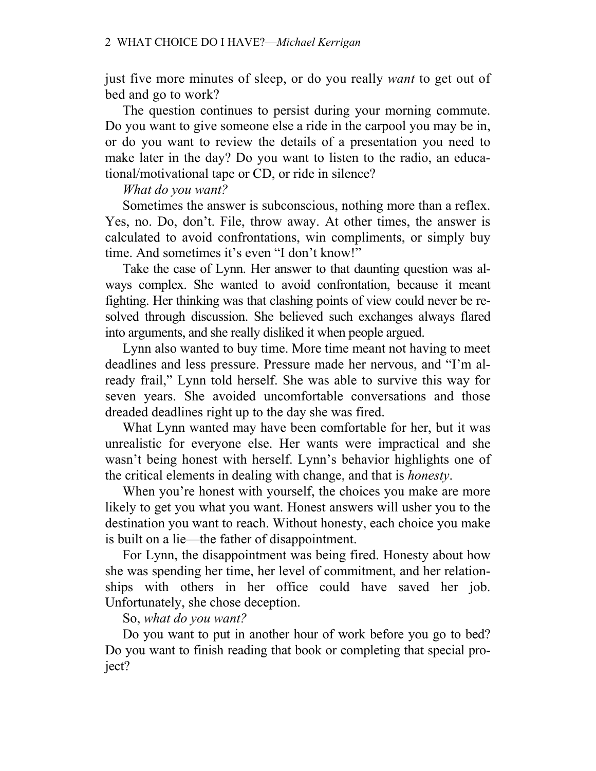just five more minutes of sleep, or do you really *want* to get out of bed and go to work?

The question continues to persist during your morning commute. Do you want to give someone else a ride in the carpool you may be in, or do you want to review the details of a presentation you need to make later in the day? Do you want to listen to the radio, an educational/motivational tape or CD, or ride in silence?

### *What do you want?*

Sometimes the answer is subconscious, nothing more than a reflex. Yes, no. Do, don't. File, throw away. At other times, the answer is calculated to avoid confrontations, win compliments, or simply buy time. And sometimes it's even "I don't know!"

Take the case of Lynn. Her answer to that daunting question was always complex. She wanted to avoid confrontation, because it meant fighting. Her thinking was that clashing points of view could never be resolved through discussion. She believed such exchanges always flared into arguments, and she really disliked it when people argued.

Lynn also wanted to buy time. More time meant not having to meet deadlines and less pressure. Pressure made her nervous, and "I'm already frail," Lynn told herself. She was able to survive this way for seven years. She avoided uncomfortable conversations and those dreaded deadlines right up to the day she was fired.

What Lynn wanted may have been comfortable for her, but it was unrealistic for everyone else. Her wants were impractical and she wasn't being honest with herself. Lynn's behavior highlights one of the critical elements in dealing with change, and that is *honesty*.

When you're honest with yourself, the choices you make are more likely to get you what you want. Honest answers will usher you to the destination you want to reach. Without honesty, each choice you make is built on a lie—the father of disappointment.

For Lynn, the disappointment was being fired. Honesty about how she was spending her time, her level of commitment, and her relationships with others in her office could have saved her job. Unfortunately, she chose deception.

#### So, *what do you want?*

Do you want to put in another hour of work before you go to bed? Do you want to finish reading that book or completing that special project?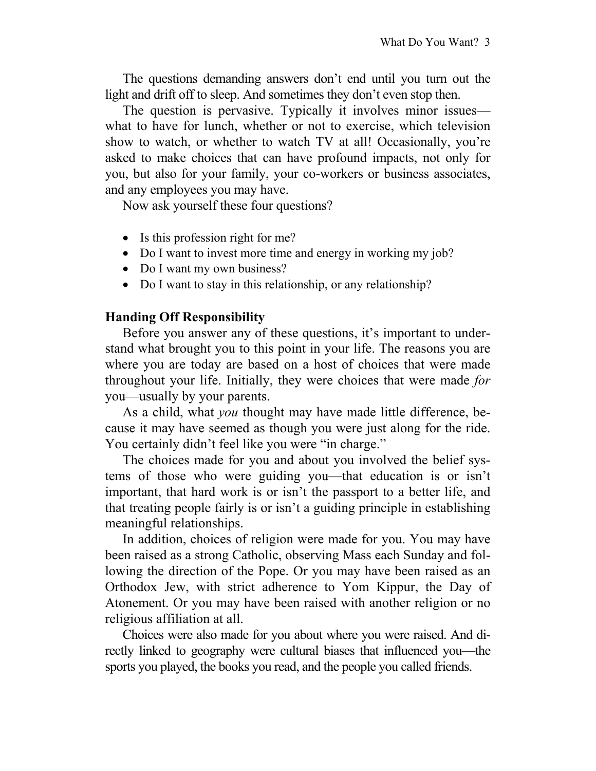The questions demanding answers don't end until you turn out the light and drift off to sleep. And sometimes they don't even stop then.

The question is pervasive. Typically it involves minor issues what to have for lunch, whether or not to exercise, which television show to watch, or whether to watch TV at all! Occasionally, you're asked to make choices that can have profound impacts, not only for you, but also for your family, your co-workers or business associates, and any employees you may have.

Now ask yourself these four questions?

- Is this profession right for me?
- Do I want to invest more time and energy in working my job?
- Do I want my own business?
- Do I want to stay in this relationship, or any relationship?

#### **Handing Off Responsibility**

Before you answer any of these questions, it's important to understand what brought you to this point in your life. The reasons you are where you are today are based on a host of choices that were made throughout your life. Initially, they were choices that were made *for* you—usually by your parents.

As a child, what *you* thought may have made little difference, because it may have seemed as though you were just along for the ride. You certainly didn't feel like you were "in charge."

The choices made for you and about you involved the belief systems of those who were guiding you—that education is or isn't important, that hard work is or isn't the passport to a better life, and that treating people fairly is or isn't a guiding principle in establishing meaningful relationships.

In addition, choices of religion were made for you. You may have been raised as a strong Catholic, observing Mass each Sunday and following the direction of the Pope. Or you may have been raised as an Orthodox Jew, with strict adherence to Yom Kippur, the Day of Atonement. Or you may have been raised with another religion or no religious affiliation at all.

Choices were also made for you about where you were raised. And directly linked to geography were cultural biases that influenced you—the sports you played, the books you read, and the people you called friends.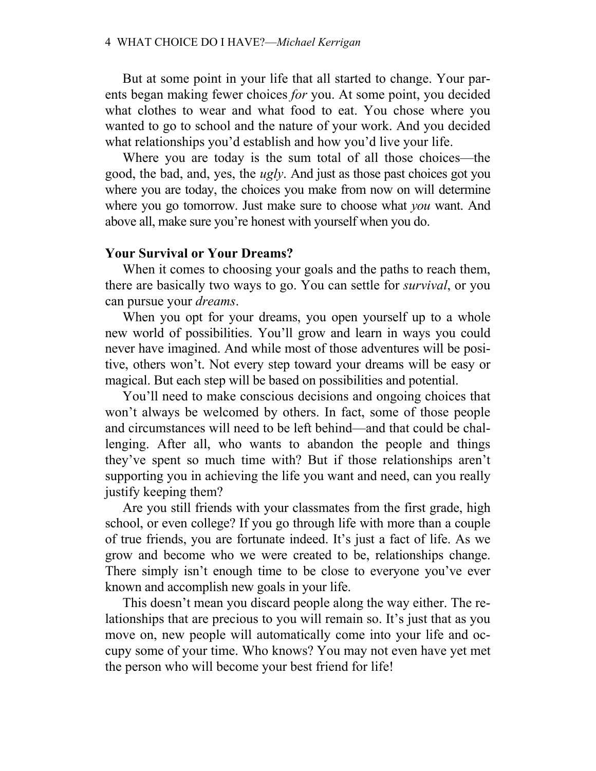But at some point in your life that all started to change. Your parents began making fewer choices *for* you. At some point, you decided what clothes to wear and what food to eat. You chose where you wanted to go to school and the nature of your work. And you decided what relationships you'd establish and how you'd live your life.

Where you are today is the sum total of all those choices—the good, the bad, and, yes, the *ugly*. And just as those past choices got you where you are today, the choices you make from now on will determine where you go tomorrow. Just make sure to choose what *you* want. And above all, make sure you're honest with yourself when you do.

#### **Your Survival or Your Dreams?**

When it comes to choosing your goals and the paths to reach them, there are basically two ways to go. You can settle for *survival*, or you can pursue your *dreams*.

When you opt for your dreams, you open yourself up to a whole new world of possibilities. You'll grow and learn in ways you could never have imagined. And while most of those adventures will be positive, others won't. Not every step toward your dreams will be easy or magical. But each step will be based on possibilities and potential.

You'll need to make conscious decisions and ongoing choices that won't always be welcomed by others. In fact, some of those people and circumstances will need to be left behind—and that could be challenging. After all, who wants to abandon the people and things they've spent so much time with? But if those relationships aren't supporting you in achieving the life you want and need, can you really justify keeping them?

Are you still friends with your classmates from the first grade, high school, or even college? If you go through life with more than a couple of true friends, you are fortunate indeed. It's just a fact of life. As we grow and become who we were created to be, relationships change. There simply isn't enough time to be close to everyone you've ever known and accomplish new goals in your life.

This doesn't mean you discard people along the way either. The relationships that are precious to you will remain so. It's just that as you move on, new people will automatically come into your life and occupy some of your time. Who knows? You may not even have yet met the person who will become your best friend for life!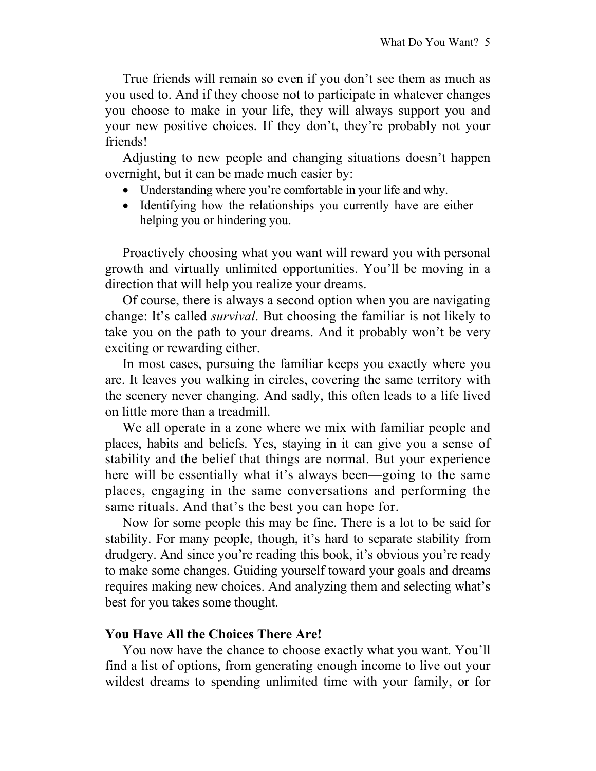True friends will remain so even if you don't see them as much as you used to. And if they choose not to participate in whatever changes you choose to make in your life, they will always support you and your new positive choices. If they don't, they're probably not your friends!

Adjusting to new people and changing situations doesn't happen overnight, but it can be made much easier by:

- Understanding where you're comfortable in your life and why.
- Identifying how the relationships you currently have are either helping you or hindering you.

Proactively choosing what you want will reward you with personal growth and virtually unlimited opportunities. You'll be moving in a direction that will help you realize your dreams.

Of course, there is always a second option when you are navigating change: It's called *survival*. But choosing the familiar is not likely to take you on the path to your dreams. And it probably won't be very exciting or rewarding either.

In most cases, pursuing the familiar keeps you exactly where you are. It leaves you walking in circles, covering the same territory with the scenery never changing. And sadly, this often leads to a life lived on little more than a treadmill.

We all operate in a zone where we mix with familiar people and places, habits and beliefs. Yes, staying in it can give you a sense of stability and the belief that things are normal. But your experience here will be essentially what it's always been—going to the same places, engaging in the same conversations and performing the same rituals. And that's the best you can hope for.

Now for some people this may be fine. There is a lot to be said for stability. For many people, though, it's hard to separate stability from drudgery. And since you're reading this book, it's obvious you're ready to make some changes. Guiding yourself toward your goals and dreams requires making new choices. And analyzing them and selecting what's best for you takes some thought.

### **You Have All the Choices There Are!**

You now have the chance to choose exactly what you want. You'll find a list of options, from generating enough income to live out your wildest dreams to spending unlimited time with your family, or for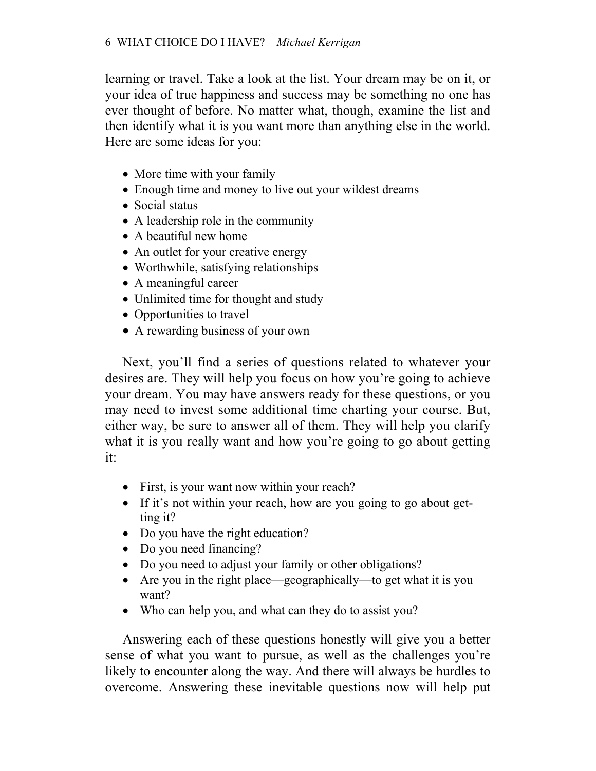learning or travel. Take a look at the list. Your dream may be on it, or your idea of true happiness and success may be something no one has ever thought of before. No matter what, though, examine the list and then identify what it is you want more than anything else in the world. Here are some ideas for you:

- More time with your family
- Enough time and money to live out your wildest dreams
- Social status
- A leadership role in the community
- A beautiful new home
- An outlet for your creative energy
- Worthwhile, satisfying relationships
- A meaningful career
- Unlimited time for thought and study
- Opportunities to travel
- A rewarding business of your own

Next, you'll find a series of questions related to whatever your desires are. They will help you focus on how you're going to achieve your dream. You may have answers ready for these questions, or you may need to invest some additional time charting your course. But, either way, be sure to answer all of them. They will help you clarify what it is you really want and how you're going to go about getting it:

- First, is your want now within your reach?
- If it's not within your reach, how are you going to go about getting it?
- Do you have the right education?
- Do you need financing?
- Do you need to adjust your family or other obligations?
- Are you in the right place—geographically—to get what it is you want?
- Who can help you, and what can they do to assist you?

Answering each of these questions honestly will give you a better sense of what you want to pursue, as well as the challenges you're likely to encounter along the way. And there will always be hurdles to overcome. Answering these inevitable questions now will help put